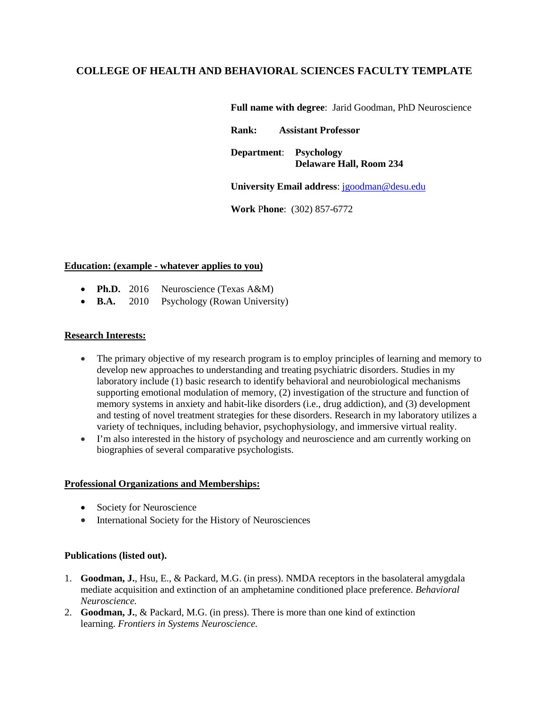# **COLLEGE OF HEALTH AND BEHAVIORAL SCIENCES FACULTY TEMPLATE**

**Full name with degree**: Jarid Goodman, PhD Neuroscience

**Rank: Assistant Professor Department**: **Psychology Delaware Hall, Room 234**

**University Email address**: [jgoodman@desu.edu](mailto:jgoodman@desu.edu)

**Work** P**hone**: (302) 857-6772

#### **Education: (example - whatever applies to you)**

- **Ph.D.** 2016 Neuroscience (Texas A&M)
- **B.A.** 2010 Psychology (Rowan University)

## **Research Interests:**

- The primary objective of my research program is to employ principles of learning and memory to develop new approaches to understanding and treating psychiatric disorders. Studies in my laboratory include (1) basic research to identify behavioral and neurobiological mechanisms supporting emotional modulation of memory, (2) investigation of the structure and function of memory systems in anxiety and habit-like disorders (i.e., drug addiction), and (3) development and testing of novel treatment strategies for these disorders. Research in my laboratory utilizes a variety of techniques, including behavior, psychophysiology, and immersive virtual reality.
- I'm also interested in the history of psychology and neuroscience and am currently working on biographies of several comparative psychologists.

#### **Professional Organizations and Memberships:**

- Society for Neuroscience
- International Society for the History of Neurosciences

## **Publications (listed out).**

- 1. **Goodman, J.**, Hsu, E., & Packard, M.G. (in press). NMDA receptors in the basolateral amygdala mediate acquisition and extinction of an amphetamine conditioned place preference. *Behavioral Neuroscience.*
- 2. **Goodman, J.**, & Packard, M.G. (in press). There is more than one kind of extinction learning. *Frontiers in Systems Neuroscience.*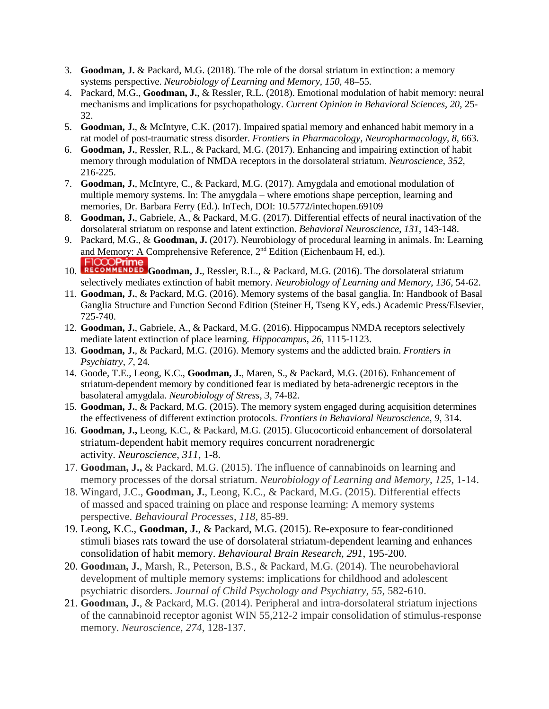- 3. **Goodman, J.** & Packard, M.G. (2018). The role of the dorsal striatum in extinction: a memory systems perspective. *Neurobiology of Learning and Memory*, *150*, 48–55.
- 4. Packard, M.G., **Goodman, J.**, & Ressler, R.L. (2018). Emotional modulation of habit memory: neural mechanisms and implications for psychopathology. *Current Opinion in Behavioral Sciences, 20*, 25- 32.
- 5. **Goodman, J.**, & McIntyre, C.K. (2017). Impaired spatial memory and enhanced habit memory in a rat model of post-traumatic stress disorder. *Frontiers in Pharmacology, Neuropharmacology, 8*, 663.
- 6. **Goodman, J.**, Ressler, R.L., & Packard, M.G. (2017). Enhancing and impairing extinction of habit memory through modulation of NMDA receptors in the dorsolateral striatum. *Neuroscience*, *352*, 216-225.
- 7. **Goodman, J.**, McIntyre, C., & Packard, M.G. (2017). Amygdala and emotional modulation of multiple memory systems. In: The amygdala – where emotions shape perception, learning and memories, Dr. Barbara Ferry (Ed.). InTech, DOI: 10.5772/intechopen.69109
- 8. **Goodman, J.**, Gabriele, A., & Packard, M.G. (2017). Differential effects of neural inactivation of the dorsolateral striatum on response and latent extinction. *Behavioral Neuroscience*, *131*, 143-148.
- 9. Packard, M.G., & **Goodman, J.** (2017). Neurobiology of procedural learning in animals. In: Learning [and Memory: A C](https://f1000.com/prime/726770143?bd=1)omprehensive Reference, 2<sup>nd</sup> Edition (Eichenbaum H, ed.).
- **FICOOPrime**<br>10. **RECOMMENDED** Goodman, J., Ressler, R.L., & Packard, M.G. (2016). The dorsolateral striatum selectively mediates extinction of habit memory. *Neurobiology of Learning and Memory*, *136*, 54-62.
- 11. **Goodman, J.**, & Packard, M.G. (2016). Memory systems of the basal ganglia. In: Handbook of Basal Ganglia Structure and Function Second Edition (Steiner H, Tseng KY, eds.) Academic Press/Elsevier, 725-740.
- 12. **Goodman, J.**, Gabriele, A., & Packard, M.G. (2016). Hippocampus NMDA receptors selectively mediate latent extinction of place learning*. Hippocampus*, *26*, 1115-1123.
- 13. **Goodman, J.**, & Packard, M.G. (2016). Memory systems and the addicted brain. *Frontiers in Psychiatry*, *7*, 24*.*
- 14. Goode, T.E., Leong, K.C., **Goodman, J.**, Maren, S., & Packard, M.G. (2016). Enhancement of striatum-dependent memory by conditioned fear is mediated by beta-adrenergic receptors in the basolateral amygdala. *Neurobiology of Stress*, *3*, 74-82.
- 15. **Goodman, J.**, & Packard, M.G. (2015). The memory system engaged during acquisition determines the effectiveness of different extinction protocols. *Frontiers in Behavioral Neuroscience*, *9*, 314.
- 16. **Goodman, J.,** Leong, K.C., & Packard, M.G. (2015). Glucocorticoid enhancement of dorsolateral striatum-dependent habit memory requires concurrent noradrenergic activity. *Neuroscience*, *311*, 1-8.
- 17. **Goodman, J.,** & Packard, M.G. (2015). The influence of cannabinoids on learning and memory processes of the dorsal striatum. *Neurobiology of Learning and Memory*, *125*, 1-14.
- 18. Wingard, J.C., **Goodman, J.**, Leong, K.C., & Packard, M.G. (2015). Differential effects of massed and spaced training on place and response learning: A memory systems perspective. *Behavioural Processes*, *118*, 85-89.
- 19. Leong, K.C., **Goodman, J.**, & Packard, M.G. (2015). Re-exposure to fear-conditioned stimuli biases rats toward the use of dorsolateral striatum-dependent learning and enhances consolidation of habit memory. *Behavioural Brain Research, 291*, 195-200.
- 20. **Goodman, J.**, Marsh, R., Peterson, B.S., & Packard, M.G. (2014). The neurobehavioral development of multiple memory systems: implications for childhood and adolescent psychiatric disorders. *Journal of Child Psychology and Psychiatry, 55*, 582-610.
- 21. **Goodman, J.**, & Packard, M.G. (2014). Peripheral and intra-dorsolateral striatum injections of the cannabinoid receptor agonist WIN 55,212-2 impair consolidation of stimulus-response memory. *Neuroscience*, *274*, 128-137.